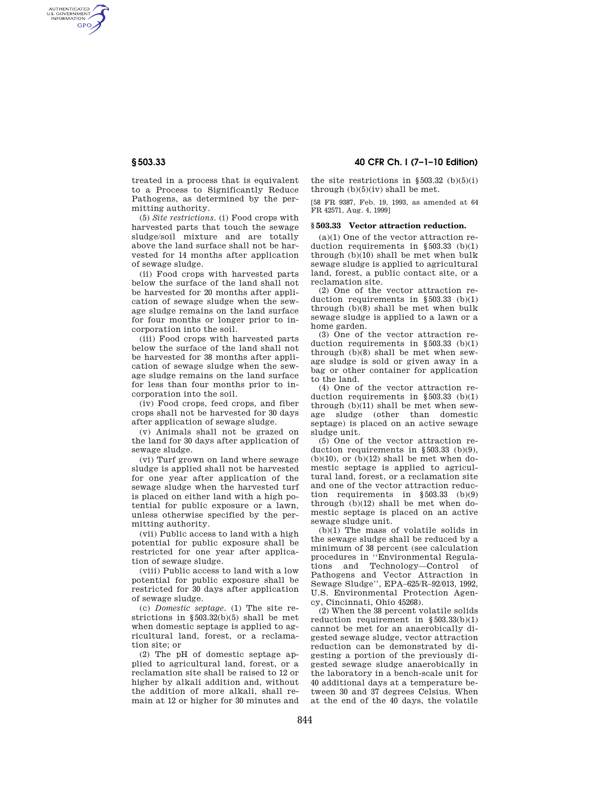AUTHENTICATED<br>U.S. GOVERNMENT<br>INFORMATION **GPO** 

> treated in a process that is equivalent to a Process to Significantly Reduce Pathogens, as determined by the permitting authority.

> (5) *Site restrictions.* (i) Food crops with harvested parts that touch the sewage sludge/soil mixture and are totally above the land surface shall not be harvested for 14 months after application of sewage sludge.

> (ii) Food crops with harvested parts below the surface of the land shall not be harvested for 20 months after application of sewage sludge when the sewage sludge remains on the land surface for four months or longer prior to incorporation into the soil.

> (iii) Food crops with harvested parts below the surface of the land shall not be harvested for 38 months after application of sewage sludge when the sewage sludge remains on the land surface for less than four months prior to incorporation into the soil.

> (iv) Food crops, feed crops, and fiber crops shall not be harvested for 30 days after application of sewage sludge.

(v) Animals shall not be grazed on the land for 30 days after application of sewage sludge.

(vi) Turf grown on land where sewage sludge is applied shall not be harvested for one year after application of the sewage sludge when the harvested turf is placed on either land with a high potential for public exposure or a lawn, unless otherwise specified by the permitting authority.

(vii) Public access to land with a high potential for public exposure shall be restricted for one year after application of sewage sludge.

(viii) Public access to land with a low potential for public exposure shall be restricted for 30 days after application of sewage sludge.

(c) *Domestic septage.* (1) The site restrictions in §503.32(b)(5) shall be met when domestic septage is applied to agricultural land, forest, or a reclamation site; or

(2) The pH of domestic septage applied to agricultural land, forest, or a reclamation site shall be raised to 12 or higher by alkali addition and, without the addition of more alkali, shall remain at 12 or higher for 30 minutes and

**§ 503.33 40 CFR Ch. I (7–1–10 Edition)** 

the site restrictions in  $\S 503.32$  (b)(5)(i) through  $(b)(5)(iv)$  shall be met.

[58 FR 9387, Feb. 19, 1993, as amended at 64 FR 42571, Aug. 4, 1999]

# **§ 503.33 Vector attraction reduction.**

(a)(1) One of the vector attraction reduction requirements in §503.33 (b)(1) through (b)(10) shall be met when bulk sewage sludge is applied to agricultural land, forest, a public contact site, or a reclamation site.

(2) One of the vector attraction reduction requirements in §503.33 (b)(1) through (b)(8) shall be met when bulk sewage sludge is applied to a lawn or a home garden.

(3) One of the vector attraction reduction requirements in §503.33 (b)(1) through (b)(8) shall be met when sewage sludge is sold or given away in a bag or other container for application to the land.

(4) One of the vector attraction reduction requirements in §503.33 (b)(1) through (b)(11) shall be met when sewage sludge (other than domestic septage) is placed on an active sewage sludge unit.

(5) One of the vector attraction reduction requirements in §503.33 (b)(9),  $(b)(10)$ , or  $(b)(12)$  shall be met when domestic septage is applied to agricultural land, forest, or a reclamation site and one of the vector attraction reduction requirements in §503.33 (b)(9) through (b)(12) shall be met when domestic septage is placed on an active sewage sludge unit.

(b)(1) The mass of volatile solids in the sewage sludge shall be reduced by a minimum of 38 percent (see calculation procedures in ''Environmental Regulations and Technology—Control of Pathogens and Vector Attraction in Sewage Sludge'', EPA–625/R–92/013, 1992, U.S. Environmental Protection Agency, Cincinnati, Ohio 45268).

(2) When the 38 percent volatile solids reduction requirement in §503.33(b)(1) cannot be met for an anaerobically digested sewage sludge, vector attraction reduction can be demonstrated by digesting a portion of the previously digested sewage sludge anaerobically in the laboratory in a bench-scale unit for 40 additional days at a temperature between 30 and 37 degrees Celsius. When at the end of the 40 days, the volatile